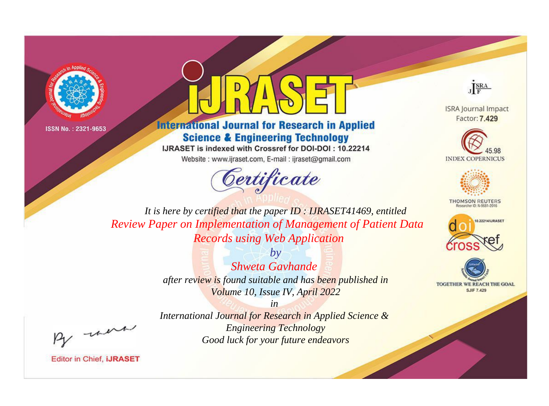



## **International Journal for Research in Applied Science & Engineering Technology**

IJRASET is indexed with Crossref for DOI-DOI: 10.22214

Website: www.ijraset.com, E-mail: ijraset@gmail.com





**ISRA Journal Impact** Factor: 7.429





**THOMSON REUTERS** 



TOGETHER WE REACH THE GOAL **SJIF 7.429** 

*It is here by certified that the paper ID : IJRASET41469, entitled Review Paper on Implementation of Management of Patient Data Records using Web Application*

> *by Shweta Gavhande after review is found suitable and has been published in Volume 10, Issue IV, April 2022*

, un

*International Journal for Research in Applied Science & Engineering Technology Good luck for your future endeavors*

*in*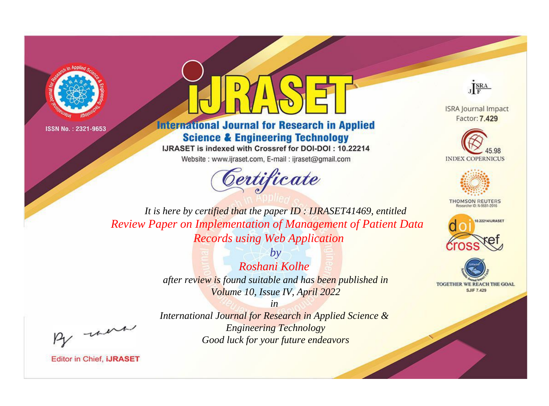



**International Journal for Research in Applied Science & Engineering Technology** 

IJRASET is indexed with Crossref for DOI-DOI: 10.22214

Website: www.ijraset.com, E-mail: ijraset@gmail.com





**ISRA Journal Impact** Factor: 7.429





**THOMSON REUTERS** 



TOGETHER WE REACH THE GOAL **SJIF 7.429** 

*It is here by certified that the paper ID : IJRASET41469, entitled Review Paper on Implementation of Management of Patient Data Records using Web Application*

> *by Roshani Kolhe after review is found suitable and has been published in Volume 10, Issue IV, April 2022*

, un

*International Journal for Research in Applied Science & Engineering Technology Good luck for your future endeavors*

*in*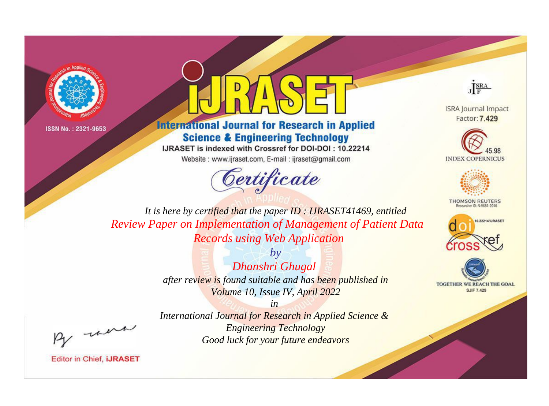



**International Journal for Research in Applied Science & Engineering Technology** 

IJRASET is indexed with Crossref for DOI-DOI: 10.22214

Website: www.ijraset.com, E-mail: ijraset@gmail.com





**ISRA Journal Impact** Factor: 7.429





**THOMSON REUTERS** 



TOGETHER WE REACH THE GOAL **SJIF 7.429** 

*It is here by certified that the paper ID : IJRASET41469, entitled Review Paper on Implementation of Management of Patient Data Records using Web Application*

> *by Dhanshri Ghugal after review is found suitable and has been published in Volume 10, Issue IV, April 2022*

> > *in*

*International Journal for Research in Applied Science & Engineering Technology Good luck for your future endeavors*

, un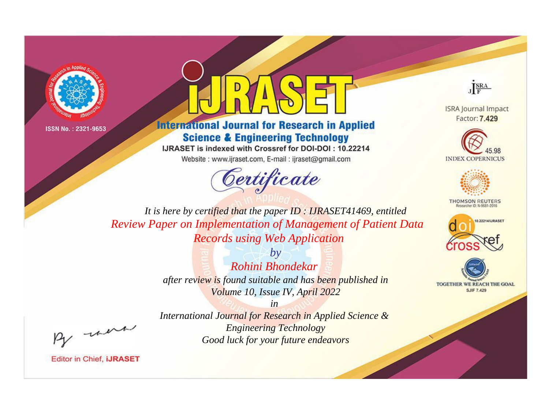



**International Journal for Research in Applied Science & Engineering Technology** 

IJRASET is indexed with Crossref for DOI-DOI: 10.22214

Website: www.ijraset.com, E-mail: ijraset@gmail.com





**ISRA Journal Impact** Factor: 7.429





**THOMSON REUTERS** 



TOGETHER WE REACH THE GOAL **SJIF 7.429** 

*It is here by certified that the paper ID : IJRASET41469, entitled Review Paper on Implementation of Management of Patient Data Records using Web Application*

> *by Rohini Bhondekar after review is found suitable and has been published in Volume 10, Issue IV, April 2022*

, un

*International Journal for Research in Applied Science & Engineering Technology Good luck for your future endeavors*

*in*